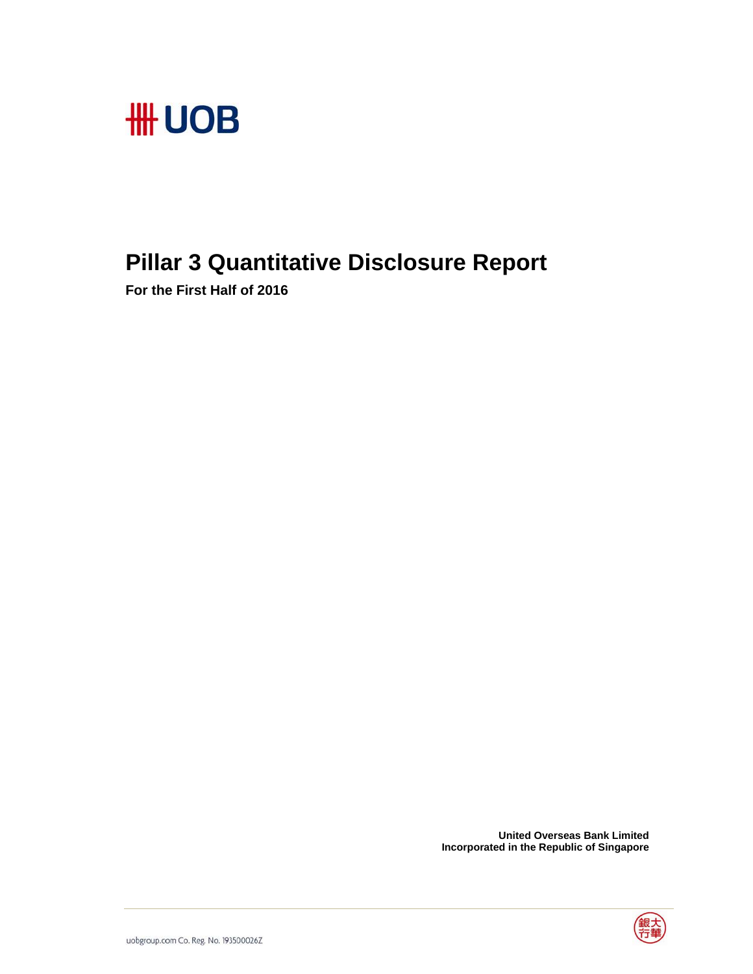

## **Pillar 3 Quantitative Disclosure Report**

**For the First Half of 2016** 

 **United Overseas Bank Limited Incorporated in the Republic of Singapore** 

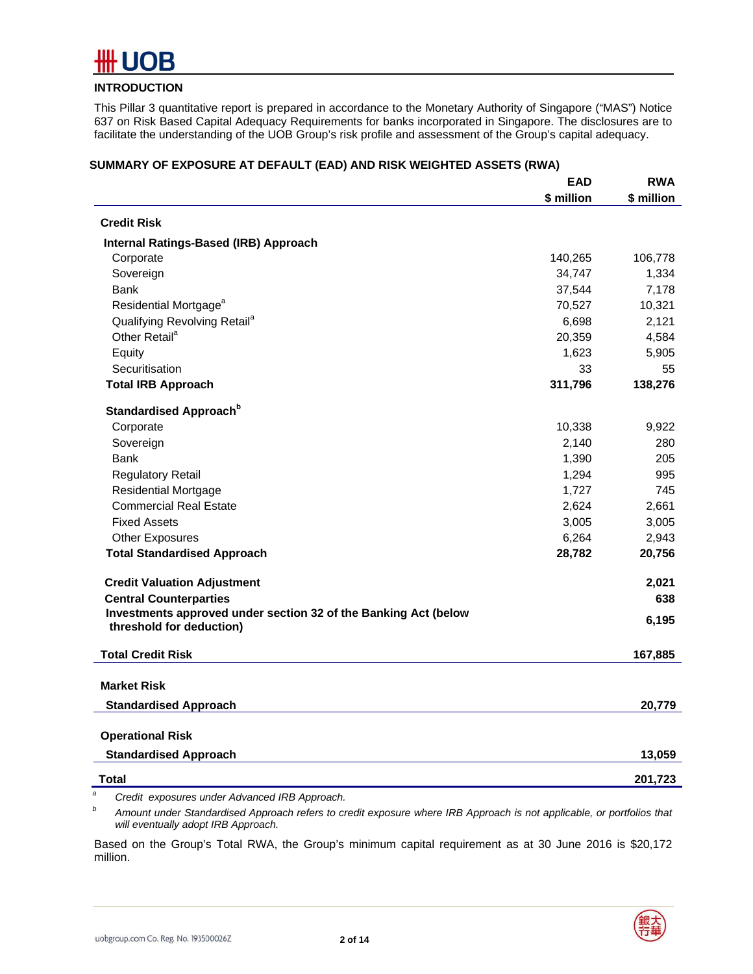

#### **INTRODUCTION**

This Pillar 3 quantitative report is prepared in accordance to the Monetary Authority of Singapore ("MAS") Notice 637 on Risk Based Capital Adequacy Requirements for banks incorporated in Singapore. The disclosures are to facilitate the understanding of the UOB Group's risk profile and assessment of the Group's capital adequacy.

|                                                                                             | <b>EAD</b> | <b>RWA</b> |
|---------------------------------------------------------------------------------------------|------------|------------|
|                                                                                             | \$ million | \$ million |
| <b>Credit Risk</b>                                                                          |            |            |
| Internal Ratings-Based (IRB) Approach                                                       |            |            |
| Corporate                                                                                   | 140,265    | 106,778    |
| Sovereign                                                                                   | 34,747     | 1,334      |
| Bank                                                                                        | 37,544     | 7,178      |
| Residential Mortgage <sup>a</sup>                                                           | 70,527     | 10,321     |
| Qualifying Revolving Retail <sup>a</sup>                                                    | 6,698      | 2,121      |
| Other Retail <sup>a</sup>                                                                   | 20,359     | 4,584      |
| Equity                                                                                      | 1,623      | 5,905      |
| Securitisation                                                                              | 33         | 55         |
| <b>Total IRB Approach</b>                                                                   | 311,796    | 138,276    |
| Standardised Approach <sup>b</sup>                                                          |            |            |
| Corporate                                                                                   | 10,338     | 9,922      |
| Sovereign                                                                                   | 2,140      | 280        |
| <b>Bank</b>                                                                                 | 1,390      | 205        |
| <b>Regulatory Retail</b>                                                                    | 1,294      | 995        |
| <b>Residential Mortgage</b>                                                                 | 1,727      | 745        |
| <b>Commercial Real Estate</b>                                                               | 2,624      | 2,661      |
| <b>Fixed Assets</b>                                                                         | 3,005      | 3,005      |
| <b>Other Exposures</b>                                                                      | 6,264      | 2,943      |
| <b>Total Standardised Approach</b>                                                          | 28,782     | 20,756     |
| <b>Credit Valuation Adjustment</b>                                                          |            | 2,021      |
| <b>Central Counterparties</b>                                                               |            | 638        |
| Investments approved under section 32 of the Banking Act (below<br>threshold for deduction) |            | 6,195      |
| <b>Total Credit Risk</b>                                                                    |            | 167,885    |
| <b>Market Risk</b>                                                                          |            |            |
|                                                                                             |            |            |
| <b>Standardised Approach</b>                                                                |            | 20,779     |
| <b>Operational Risk</b>                                                                     |            |            |
| <b>Standardised Approach</b>                                                                |            | 13,059     |
| Total                                                                                       |            | 201,723    |

#### **SUMMARY OF EXPOSURE AT DEFAULT (EAD) AND RISK WEIGHTED ASSETS (RWA)**

*a Credit exposures under Advanced IRB Approach.* 

*b Amount under Standardised Approach refers to credit exposure where IRB Approach is not applicable, or portfolios that will eventually adopt IRB Approach.* 

Based on the Group's Total RWA, the Group's minimum capital requirement as at 30 June 2016 is \$20,172 million.

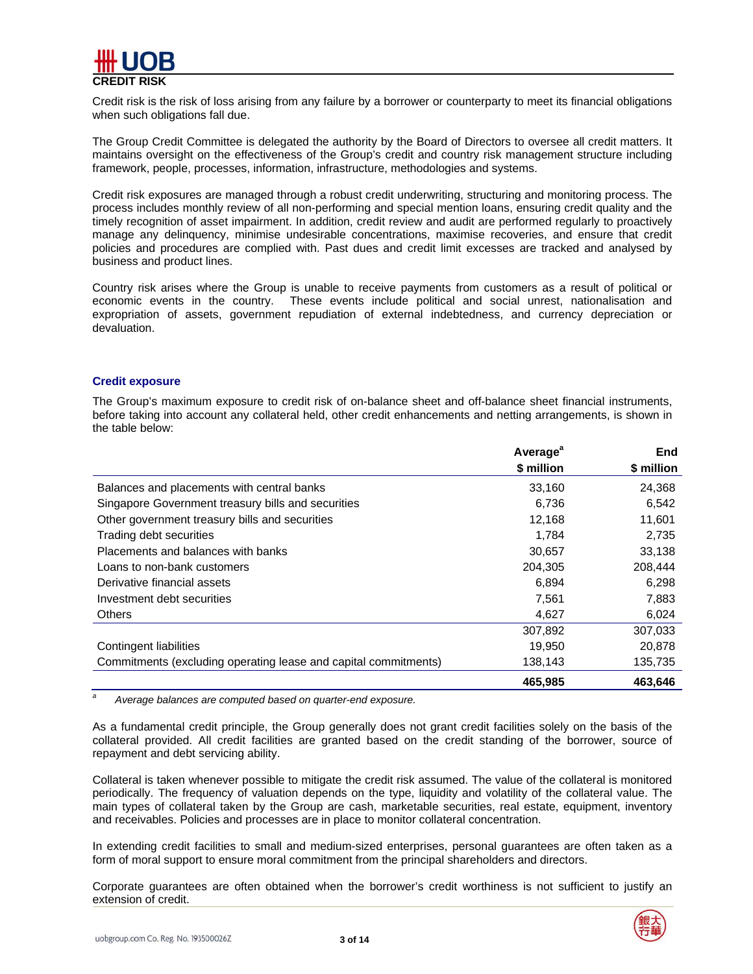

Credit risk is the risk of loss arising from any failure by a borrower or counterparty to meet its financial obligations when such obligations fall due.

The Group Credit Committee is delegated the authority by the Board of Directors to oversee all credit matters. It maintains oversight on the effectiveness of the Group's credit and country risk management structure including framework, people, processes, information, infrastructure, methodologies and systems.

Credit risk exposures are managed through a robust credit underwriting, structuring and monitoring process. The process includes monthly review of all non-performing and special mention loans, ensuring credit quality and the timely recognition of asset impairment. In addition, credit review and audit are performed regularly to proactively manage any delinquency, minimise undesirable concentrations, maximise recoveries, and ensure that credit policies and procedures are complied with. Past dues and credit limit excesses are tracked and analysed by business and product lines.

Country risk arises where the Group is unable to receive payments from customers as a result of political or economic events in the country. These events include political and social unrest, nationalisation and expropriation of assets, government repudiation of external indebtedness, and currency depreciation or devaluation.

#### **Credit exposure**

The Group's maximum exposure to credit risk of on-balance sheet and off-balance sheet financial instruments, before taking into account any collateral held, other credit enhancements and netting arrangements, is shown in the table below:

|                                                                 | Average <sup>a</sup> | <b>End</b> |
|-----------------------------------------------------------------|----------------------|------------|
|                                                                 | \$ million           | \$ million |
| Balances and placements with central banks                      | 33.160               | 24,368     |
| Singapore Government treasury bills and securities              | 6,736                | 6,542      |
| Other government treasury bills and securities                  | 12.168               | 11,601     |
| Trading debt securities                                         | 1,784                | 2,735      |
| Placements and balances with banks                              | 30,657               | 33,138     |
| Loans to non-bank customers                                     | 204.305              | 208,444    |
| Derivative financial assets                                     | 6,894                | 6,298      |
| Investment debt securities                                      | 7,561                | 7,883      |
| <b>Others</b>                                                   | 4,627                | 6,024      |
|                                                                 | 307,892              | 307,033    |
| Contingent liabilities                                          | 19,950               | 20,878     |
| Commitments (excluding operating lease and capital commitments) | 138,143              | 135,735    |
|                                                                 | 465.985              | 463.646    |

*a Average balances are computed based on quarter-end exposure.* 

As a fundamental credit principle, the Group generally does not grant credit facilities solely on the basis of the collateral provided. All credit facilities are granted based on the credit standing of the borrower, source of repayment and debt servicing ability.

Collateral is taken whenever possible to mitigate the credit risk assumed. The value of the collateral is monitored periodically. The frequency of valuation depends on the type, liquidity and volatility of the collateral value. The main types of collateral taken by the Group are cash, marketable securities, real estate, equipment, inventory and receivables. Policies and processes are in place to monitor collateral concentration.

In extending credit facilities to small and medium-sized enterprises, personal guarantees are often taken as a form of moral support to ensure moral commitment from the principal shareholders and directors.

Corporate guarantees are often obtained when the borrower's credit worthiness is not sufficient to justify an extension of credit.

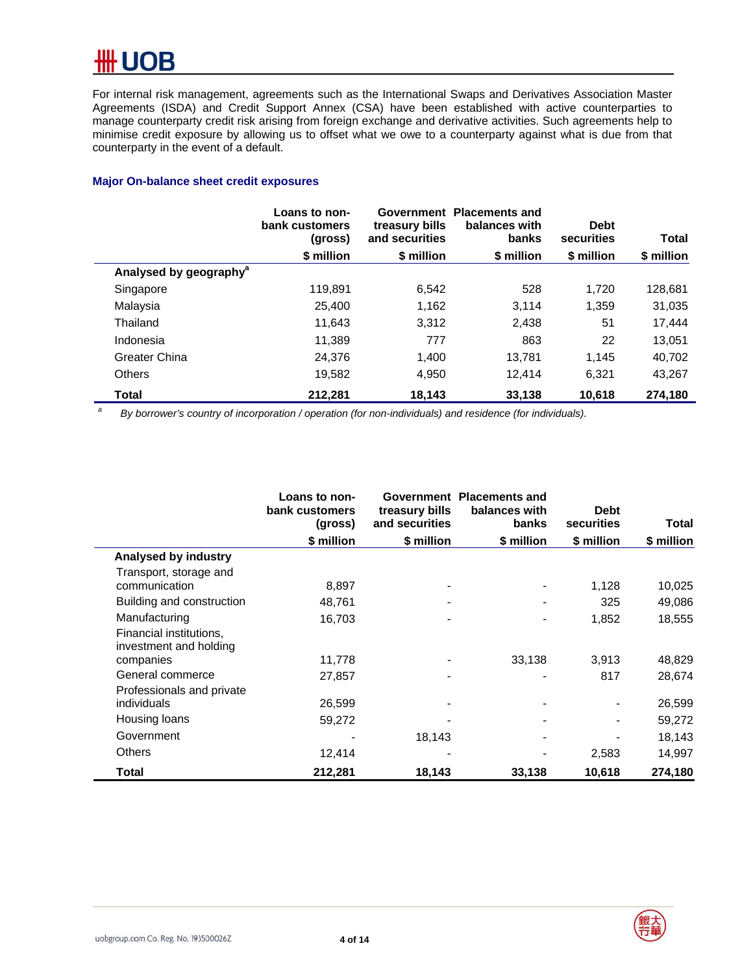For internal risk management, agreements such as the International Swaps and Derivatives Association Master Agreements (ISDA) and Credit Support Annex (CSA) have been established with active counterparties to manage counterparty credit risk arising from foreign exchange and derivative activities. Such agreements help to minimise credit exposure by allowing us to offset what we owe to a counterparty against what is due from that counterparty in the event of a default.

#### **Major On-balance sheet credit exposures**

|                                    | Loans to non-<br>bank customers<br>(gross) | treasury bills<br>and securities | Government Placements and<br>balances with<br>banks | <b>Debt</b><br>securities | <b>Total</b> |
|------------------------------------|--------------------------------------------|----------------------------------|-----------------------------------------------------|---------------------------|--------------|
|                                    | \$ million                                 | \$ million                       | \$ million                                          | \$ million                | \$ million   |
| Analysed by geography <sup>a</sup> |                                            |                                  |                                                     |                           |              |
| Singapore                          | 119.891                                    | 6,542                            | 528                                                 | 1,720                     | 128,681      |
| Malaysia                           | 25,400                                     | 1,162                            | 3.114                                               | 1,359                     | 31,035       |
| Thailand                           | 11.643                                     | 3,312                            | 2,438                                               | 51                        | 17,444       |
| Indonesia                          | 11,389                                     | 777                              | 863                                                 | 22                        | 13,051       |
| Greater China                      | 24,376                                     | 1,400                            | 13,781                                              | 1.145                     | 40,702       |
| <b>Others</b>                      | 19,582                                     | 4,950                            | 12.414                                              | 6.321                     | 43,267       |
| Total                              | 212,281                                    | 18,143                           | 33,138                                              | 10,618                    | 274.180      |

*a By borrower's country of incorporation / operation (for non-individuals) and residence (for individuals).* 

|                                                   | Loans to non-<br>bank customers<br>(gross) | Government<br>treasury bills<br>and securities | <b>Placements and</b><br>balances with<br><b>banks</b> | <b>Debt</b><br>securities | Total      |
|---------------------------------------------------|--------------------------------------------|------------------------------------------------|--------------------------------------------------------|---------------------------|------------|
|                                                   | \$ million                                 | \$ million                                     | \$ million                                             | \$ million                | \$ million |
| Analysed by industry                              |                                            |                                                |                                                        |                           |            |
| Transport, storage and                            |                                            |                                                |                                                        |                           |            |
| communication                                     | 8,897                                      |                                                |                                                        | 1,128                     | 10,025     |
| Building and construction                         | 48,761                                     |                                                |                                                        | 325                       | 49,086     |
| Manufacturing                                     | 16,703                                     |                                                |                                                        | 1,852                     | 18,555     |
| Financial institutions,<br>investment and holding |                                            |                                                |                                                        |                           |            |
| companies                                         | 11,778                                     |                                                | 33,138                                                 | 3,913                     | 48,829     |
| General commerce                                  | 27,857                                     |                                                |                                                        | 817                       | 28,674     |
| Professionals and private                         |                                            |                                                |                                                        |                           |            |
| individuals                                       | 26,599                                     |                                                |                                                        |                           | 26,599     |
| Housing loans                                     | 59,272                                     |                                                |                                                        |                           | 59,272     |
| Government                                        |                                            | 18,143                                         |                                                        |                           | 18,143     |
| <b>Others</b>                                     | 12,414                                     |                                                |                                                        | 2,583                     | 14,997     |
| Total                                             | 212,281                                    | 18,143                                         | 33,138                                                 | 10,618                    | 274,180    |



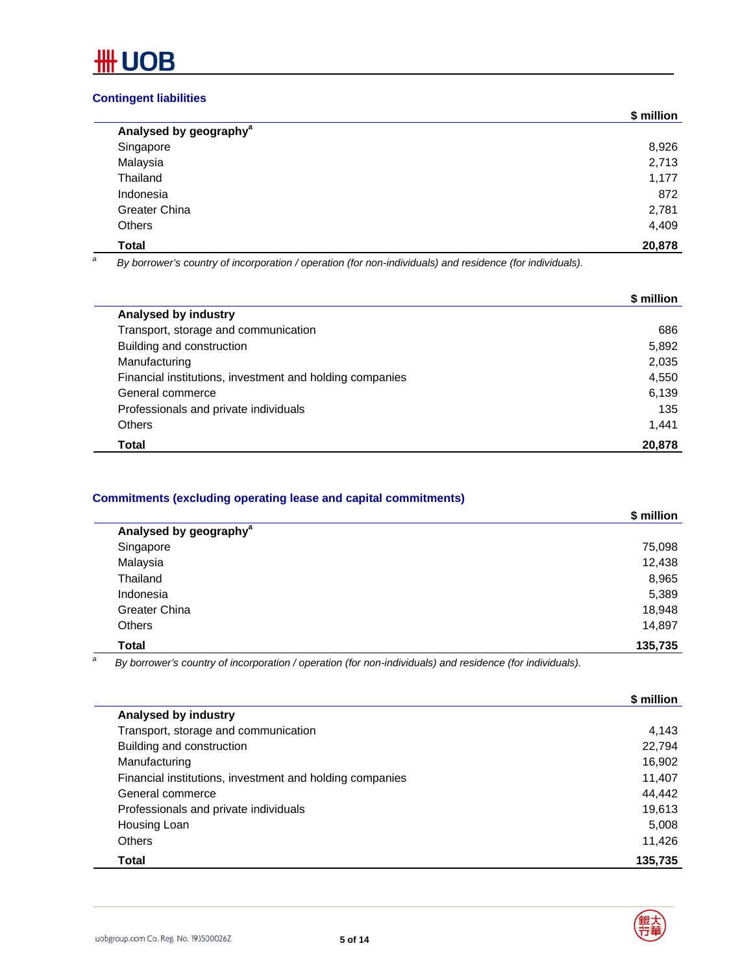

#### **Contingent liabilities**

|                                    | \$ million |
|------------------------------------|------------|
| Analysed by geography <sup>a</sup> |            |
| Singapore                          | 8,926      |
| Malaysia                           | 2,713      |
| Thailand                           | 1,177      |
| Indonesia                          | 872        |
| Greater China                      | 2,781      |
| Others                             | 4,409      |
| <b>Total</b>                       | 20,878     |

*a By borrower's country of incorporation / operation (for non-individuals) and residence (for individuals).* 

|                                                          | \$ million |
|----------------------------------------------------------|------------|
| Analysed by industry                                     |            |
| Transport, storage and communication                     | 686        |
| Building and construction                                | 5,892      |
| Manufacturing                                            | 2,035      |
| Financial institutions, investment and holding companies | 4,550      |
| General commerce                                         | 6,139      |
| Professionals and private individuals                    | 135        |
| <b>Others</b>                                            | 1,441      |
| Total                                                    | 20,878     |

#### **Commitments (excluding operating lease and capital commitments)**

|                                    | \$ million |
|------------------------------------|------------|
| Analysed by geography <sup>a</sup> |            |
| Singapore                          | 75,098     |
| Malaysia                           | 12,438     |
| Thailand                           | 8,965      |
| Indonesia                          | 5,389      |
| Greater China                      | 18,948     |
| <b>Others</b>                      | 14,897     |
| <b>Total</b>                       | 135,735    |

*a By borrower's country of incorporation / operation (for non-individuals) and residence (for individuals).*

|                                                          | \$ million |
|----------------------------------------------------------|------------|
| Analysed by industry                                     |            |
| Transport, storage and communication                     | 4.143      |
| Building and construction                                | 22,794     |
| Manufacturing                                            | 16,902     |
| Financial institutions, investment and holding companies | 11,407     |
| General commerce                                         | 44,442     |
| Professionals and private individuals                    | 19,613     |
| Housing Loan                                             | 5.008      |
| Others                                                   | 11,426     |
| Total                                                    | 135,735    |

 $\overline{\phantom{0}}$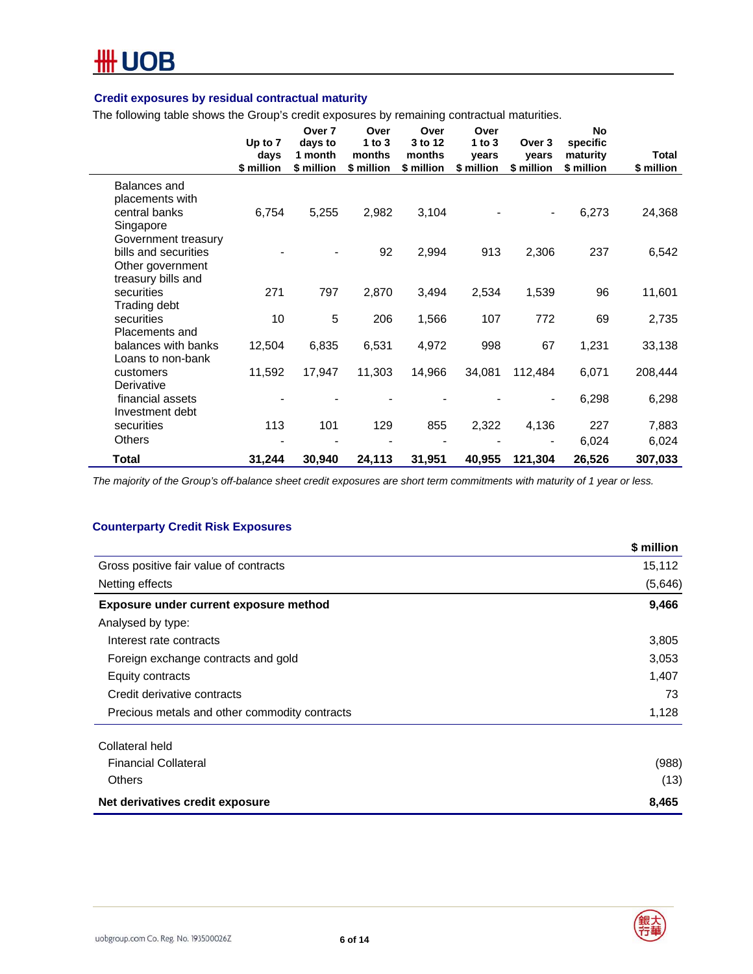

#### **Credit exposures by residual contractual maturity**

The following table shows the Group's credit exposures by remaining contractual maturities.

|                                                                                       | Up to 7<br>days<br>\$ million | Over 7<br>days to<br>1 month<br>\$ million | Over<br>$1$ to $3$<br>months<br>\$ million | Over<br>3 to 12<br>months<br>\$ million | Over<br>1 to $3$<br>vears<br>\$ million | Over 3<br>vears<br>\$ million | No<br>specific<br>maturity<br>\$ million | Total<br>\$ million |
|---------------------------------------------------------------------------------------|-------------------------------|--------------------------------------------|--------------------------------------------|-----------------------------------------|-----------------------------------------|-------------------------------|------------------------------------------|---------------------|
| Balances and<br>placements with<br>central banks<br>Singapore                         | 6,754                         | 5,255                                      | 2,982                                      | 3,104                                   |                                         | $\overline{\phantom{a}}$      | 6,273                                    | 24,368              |
| Government treasury<br>bills and securities<br>Other government<br>treasury bills and |                               |                                            | 92                                         | 2,994                                   | 913                                     | 2,306                         | 237                                      | 6,542               |
| securities<br>Trading debt                                                            | 271                           | 797                                        | 2,870                                      | 3,494                                   | 2,534                                   | 1,539                         | 96                                       | 11,601              |
| securities<br>Placements and                                                          | 10                            | 5                                          | 206                                        | 1,566                                   | 107                                     | 772                           | 69                                       | 2,735               |
| balances with banks<br>Loans to non-bank                                              | 12,504                        | 6,835                                      | 6,531                                      | 4,972                                   | 998                                     | 67                            | 1,231                                    | 33,138              |
| customers<br>Derivative                                                               | 11,592                        | 17,947                                     | 11,303                                     | 14,966                                  | 34,081                                  | 112,484                       | 6,071                                    | 208,444             |
| financial assets<br>Investment debt                                                   |                               |                                            |                                            |                                         |                                         | $\qquad \qquad \blacksquare$  | 6,298                                    | 6,298               |
| securities<br><b>Others</b>                                                           | 113                           | 101                                        | 129                                        | 855                                     | 2,322                                   | 4,136                         | 227<br>6,024                             | 7,883<br>6,024      |
| Total                                                                                 | 31,244                        | 30,940                                     | 24,113                                     | 31,951                                  | 40,955                                  | 121,304                       | 26,526                                   | 307,033             |

*The majority of the Group's off-balance sheet credit exposures are short term commitments with maturity of 1 year or less.* 

#### **Counterparty Credit Risk Exposures**

|                                               | \$ million |
|-----------------------------------------------|------------|
| Gross positive fair value of contracts        | 15,112     |
| Netting effects                               | (5,646)    |
| Exposure under current exposure method        | 9,466      |
| Analysed by type:                             |            |
| Interest rate contracts                       | 3,805      |
| Foreign exchange contracts and gold           | 3,053      |
| Equity contracts                              | 1,407      |
| Credit derivative contracts                   | 73         |
| Precious metals and other commodity contracts | 1,128      |
| Collateral held                               |            |
| <b>Financial Collateral</b>                   | (988)      |
| Others                                        | (13)       |
| Net derivatives credit exposure               | 8,465      |

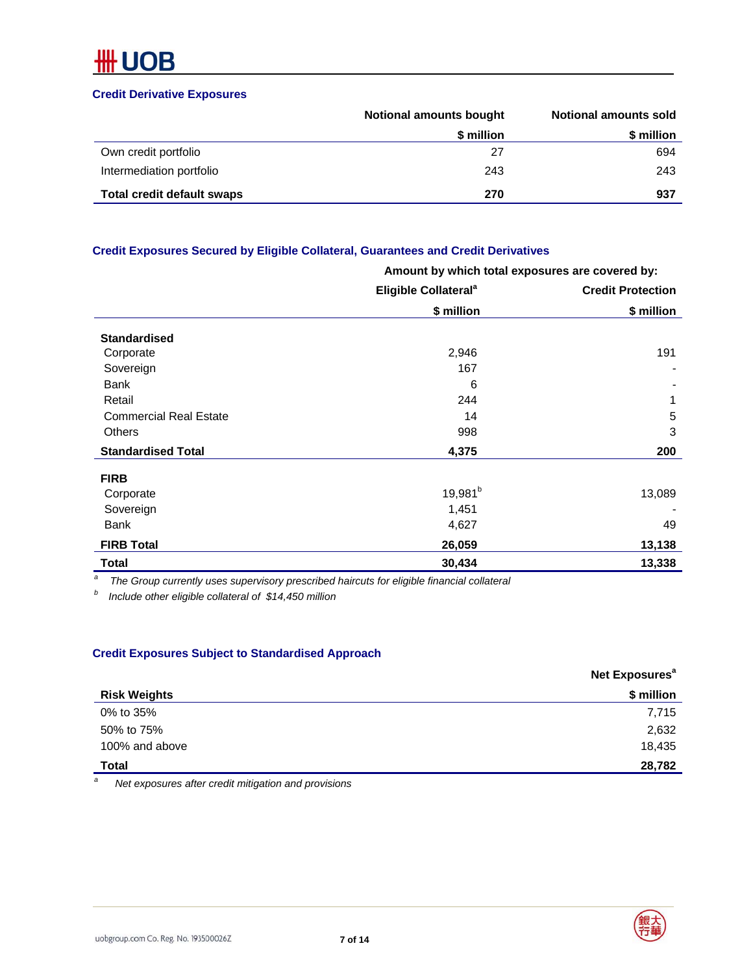#### **Credit Derivative Exposures**

|                                   | <b>Notional amounts bought</b> | Notional amounts sold |
|-----------------------------------|--------------------------------|-----------------------|
|                                   | \$ million                     | \$ million            |
| Own credit portfolio              | 27                             | 694                   |
| Intermediation portfolio          | 243                            | 243                   |
| <b>Total credit default swaps</b> | 270                            | 937                   |

#### **Credit Exposures Secured by Eligible Collateral, Guarantees and Credit Derivatives**

|                               | Amount by which total exposures are covered by: |                          |  |
|-------------------------------|-------------------------------------------------|--------------------------|--|
|                               | Eligible Collateral <sup>a</sup>                | <b>Credit Protection</b> |  |
|                               | \$ million                                      | \$ million               |  |
| <b>Standardised</b>           |                                                 |                          |  |
| Corporate                     | 2,946                                           | 191                      |  |
| Sovereign                     | 167                                             |                          |  |
| Bank                          | 6                                               |                          |  |
| Retail                        | 244                                             | 1                        |  |
| <b>Commercial Real Estate</b> | 14                                              | 5                        |  |
| Others                        | 998                                             | 3                        |  |
| <b>Standardised Total</b>     | 4,375                                           | 200                      |  |
| <b>FIRB</b>                   |                                                 |                          |  |
| Corporate                     | 19,981 <sup>b</sup>                             | 13,089                   |  |
| Sovereign                     | 1,451                                           |                          |  |
| <b>Bank</b>                   | 4,627                                           | 49                       |  |
| <b>FIRB Total</b>             | 26,059                                          | 13,138                   |  |
| Total                         | 30,434                                          | 13,338                   |  |

*a The Group currently uses supervisory prescribed haircuts for eligible financial collateral* 

*b Include other eligible collateral of \$14,450 million* 

#### **Credit Exposures Subject to Standardised Approach**

|                     | Net Exposures <sup>a</sup> |
|---------------------|----------------------------|
| <b>Risk Weights</b> | \$ million                 |
| 0% to 35%           | 7,715                      |
| 50% to 75%          | 2,632                      |
| 100% and above      | 18,435                     |
| <b>Total</b>        | 28,782                     |

*a Net exposures after credit mitigation and provisions* 



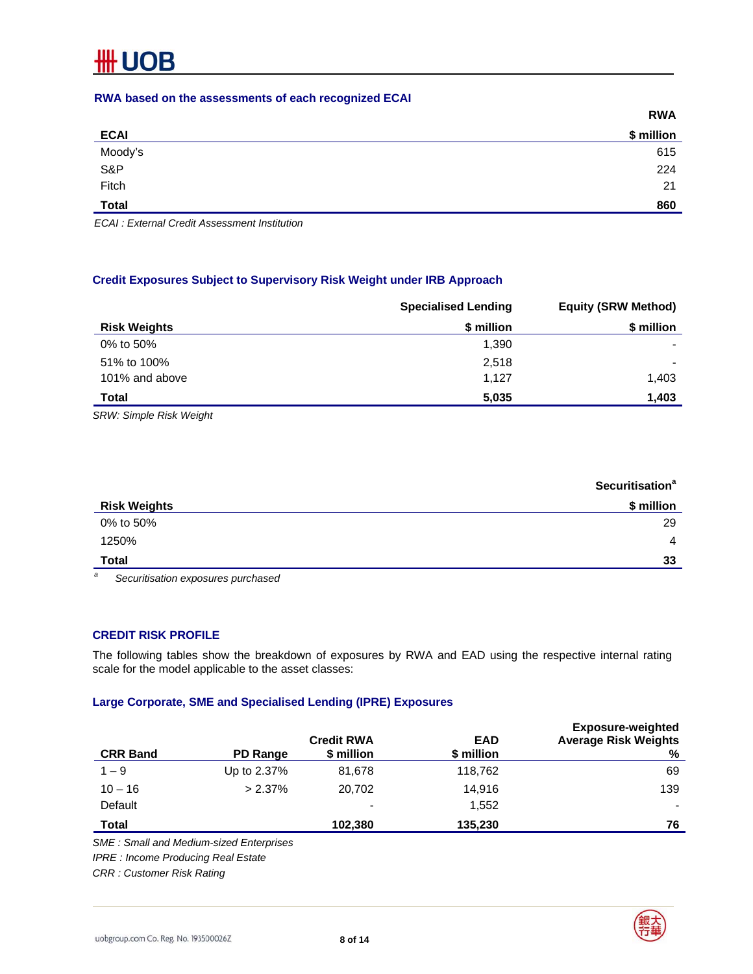#### **RWA based on the assessments of each recognized ECAI**

|              | <b>RWA</b> |
|--------------|------------|
| <b>ECAI</b>  | \$ million |
| Moody's      | 615        |
| S&P<br>Fitch | 224        |
|              | 21         |
| <b>Total</b> | 860        |

*ECAI : External Credit Assessment Institution* 

#### **Credit Exposures Subject to Supervisory Risk Weight under IRB Approach**

|                     | <b>Specialised Lending</b> | <b>Equity (SRW Method)</b> |
|---------------------|----------------------------|----------------------------|
| <b>Risk Weights</b> | \$ million                 | \$ million                 |
| 0% to 50%           | 1,390                      |                            |
| 51% to 100%         | 2,518                      | $\overline{\phantom{0}}$   |
| 101% and above      | 1.127                      | 1,403                      |
| <b>Total</b>        | 5,035                      | 1,403                      |

*SRW: Simple Risk Weight* 

|                                                                                                                                                                                                                                                                                                                                    | <b>Securitisation<sup>a</sup></b> |
|------------------------------------------------------------------------------------------------------------------------------------------------------------------------------------------------------------------------------------------------------------------------------------------------------------------------------------|-----------------------------------|
| <b>Risk Weights</b>                                                                                                                                                                                                                                                                                                                | \$ million                        |
| 0% to 50%                                                                                                                                                                                                                                                                                                                          | 29                                |
| 1250%                                                                                                                                                                                                                                                                                                                              | $\overline{4}$                    |
| <b>Total</b>                                                                                                                                                                                                                                                                                                                       | 33                                |
| $\overline{a}$ and $\overline{a}$ and $\overline{a}$ and $\overline{a}$ and $\overline{a}$ and $\overline{a}$ and $\overline{a}$ and $\overline{a}$ and $\overline{a}$ and $\overline{a}$ and $\overline{a}$ and $\overline{a}$ and $\overline{a}$ and $\overline{a}$ and $\overline{a}$ and $\overline{a}$ and $\overline{a}$ and |                                   |

*a Securitisation exposures purchased* 

#### **CREDIT RISK PROFILE**

The following tables show the breakdown of exposures by RWA and EAD using the respective internal rating scale for the model applicable to the asset classes:

#### **Large Corporate, SME and Specialised Lending (IPRE) Exposures**

| <b>CRR Band</b> | PD Range    | <b>Credit RWA</b><br>\$ million | <b>EAD</b><br>\$ million | <b>Exposure-weighted</b><br><b>Average Risk Weights</b><br>% |
|-----------------|-------------|---------------------------------|--------------------------|--------------------------------------------------------------|
| $1 - 9$         | Up to 2.37% | 81,678                          | 118,762                  | 69                                                           |
| $10 - 16$       | $> 2.37\%$  | 20.702                          | 14.916                   | 139                                                          |
| Default         |             | $\,$                            | 1.552                    | $\overline{\phantom{0}}$                                     |
| Total           |             | 102,380                         | 135,230                  | 76                                                           |

*SME : Small and Medium-sized Enterprises* 

*IPRE : Income Producing Real Estate* 

*CRR : Customer Risk Rating* 

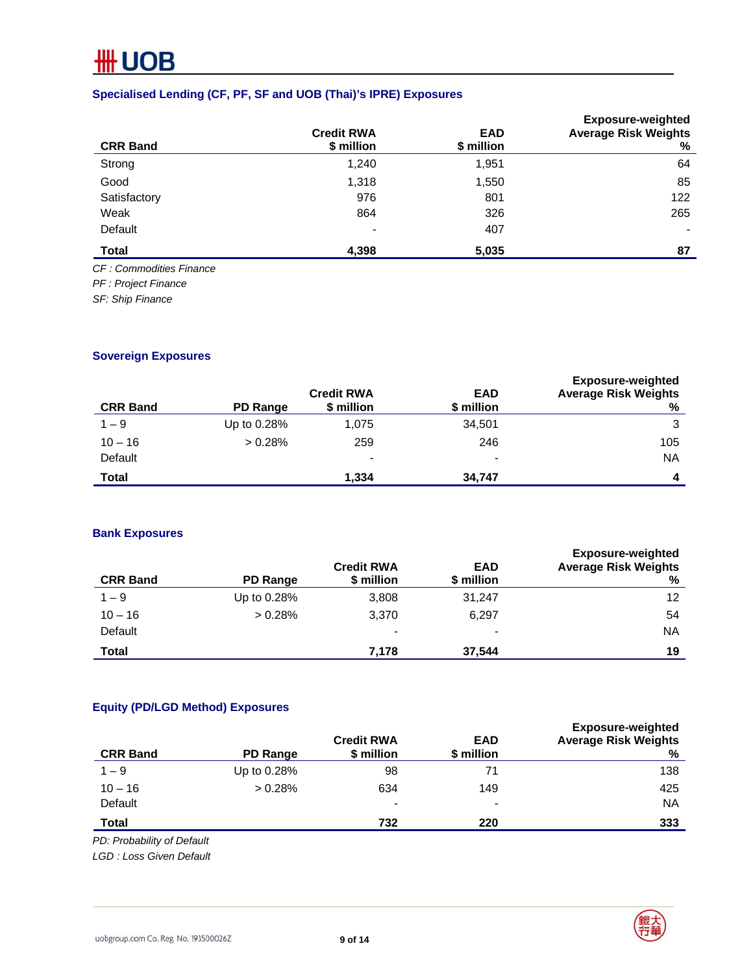#### **Specialised Lending (CF, PF, SF and UOB (Thai)'s IPRE) Exposures**

|                          | <b>Credit RWA</b> | <b>EAD</b> | <b>Exposure-weighted</b><br><b>Average Risk Weights</b> |
|--------------------------|-------------------|------------|---------------------------------------------------------|
| <b>CRR Band</b>          | \$ million        | \$ million | ℅                                                       |
| Strong                   | 1,240             | 1,951      | 64                                                      |
| Good                     | 1,318             | 1,550      | 85                                                      |
| Satisfactory             | 976               | 801        | 122                                                     |
| Weak                     | 864               | 326        | 265                                                     |
| Default                  | $\qquad \qquad$   | 407        | $\overline{\phantom{0}}$                                |
| <b>Total</b>             | 4,398             | 5,035      | 87                                                      |
| CE : Commodities Finance |                   |            |                                                         |

*CF : Commodities Finance* 

*PF : Project Finance* 

*SF: Ship Finance* 

#### **Sovereign Exposures**

| <b>CRR Band</b> | PD Range    | <b>Credit RWA</b><br>\$ million | <b>EAD</b><br>\$ million | <b>Exposure-weighted</b><br><b>Average Risk Weights</b><br>% |
|-----------------|-------------|---------------------------------|--------------------------|--------------------------------------------------------------|
| $1 - 9$         | Up to 0.28% | 1,075                           | 34,501                   | 3                                                            |
| $10 - 16$       | > 0.28%     | 259                             | 246                      | 105                                                          |
| Default         |             | $\blacksquare$                  | $\,$                     | <b>NA</b>                                                    |
| Total           |             | 1.334                           | 34,747                   | 4                                                            |

#### **Bank Exposures**

| <b>CRR Band</b> | <b>PD Range</b> | <b>Credit RWA</b><br>\$ million | <b>EAD</b><br>\$ million | <b>Exposure-weighted</b><br><b>Average Risk Weights</b><br>% |
|-----------------|-----------------|---------------------------------|--------------------------|--------------------------------------------------------------|
| $1 - 9$         | Up to 0.28%     | 3,808                           | 31,247                   | 12 <sup>°</sup>                                              |
| $10 - 16$       | $> 0.28\%$      | 3,370                           | 6,297                    | 54                                                           |
| Default         |                 | $\blacksquare$                  | $\overline{\phantom{0}}$ | <b>NA</b>                                                    |
| Total           |                 | 7.178                           | 37.544                   | 19                                                           |

#### **Equity (PD/LGD Method) Exposures**

| <b>CRR Band</b> | PD Range    | <b>Credit RWA</b><br>\$ million | <b>EAD</b><br>\$ million | <b>Exposure-weighted</b><br><b>Average Risk Weights</b><br>% |
|-----------------|-------------|---------------------------------|--------------------------|--------------------------------------------------------------|
| $1 - 9$         | Up to 0.28% | 98                              | 71                       | 138                                                          |
| $10 - 16$       | $> 0.28\%$  | 634                             | 149                      | 425                                                          |
| Default         |             | $\blacksquare$                  | $\overline{\phantom{0}}$ | <b>NA</b>                                                    |
| Total           |             | 732                             | 220                      | 333                                                          |

*PD: Probability of Default* 

*LGD : Loss Given Default* 

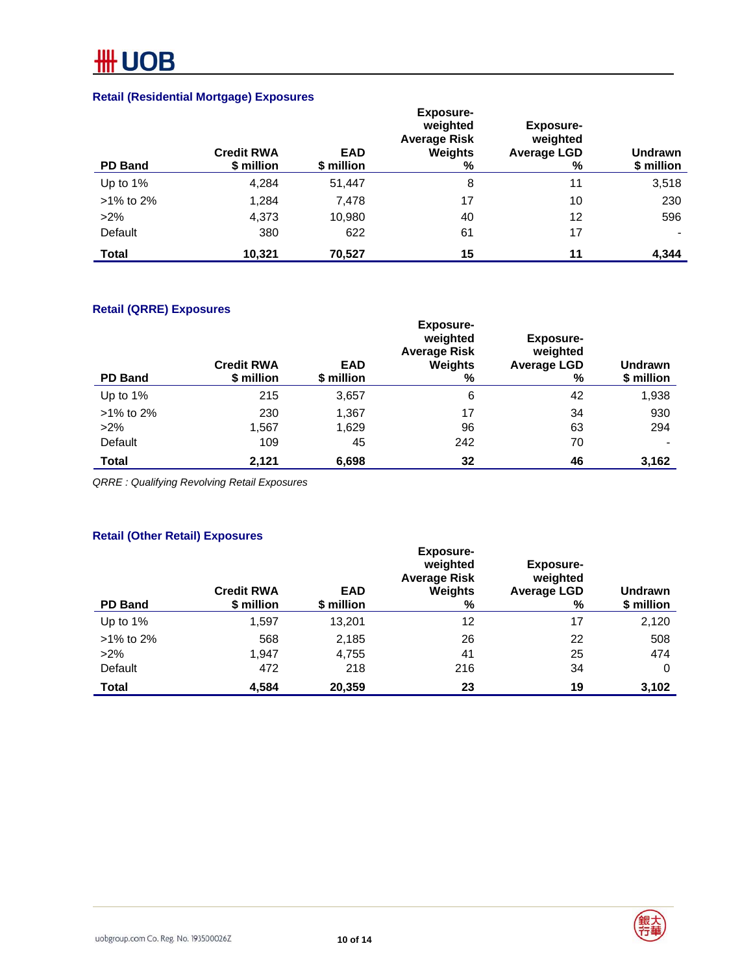### **Retail (Residential Mortgage) Exposures**

| <b>PD Band</b> | <b>Credit RWA</b><br>\$ million | <b>EAD</b><br>\$ million | <b>Exposure-</b><br>weighted<br><b>Average Risk</b><br>Weights<br>% | Exposure-<br>weighted<br><b>Average LGD</b><br>% | <b>Undrawn</b><br>\$ million |
|----------------|---------------------------------|--------------------------|---------------------------------------------------------------------|--------------------------------------------------|------------------------------|
| Up to 1%       | 4.284                           | 51,447                   | 8                                                                   | 11                                               | 3,518                        |
| $>1\%$ to 2%   | 1,284                           | 7,478                    | 17                                                                  | 10                                               | 230                          |
| $>2\%$         | 4,373                           | 10,980                   | 40                                                                  | 12                                               | 596                          |
| Default        | 380                             | 622                      | 61                                                                  | 17                                               |                              |
| <b>Total</b>   | 10.321                          | 70,527                   | 15                                                                  | 11                                               | 4,344                        |

#### **Retail (QRRE) Exposures**

| <b>PD Band</b> | <b>Credit RWA</b><br>\$ million | <b>EAD</b><br>\$ million | <b>Exposure-</b><br>weighted<br><b>Average Risk</b><br>Weights<br>% | <b>Exposure-</b><br>weighted<br><b>Average LGD</b><br>% | Undrawn<br>\$ million    |
|----------------|---------------------------------|--------------------------|---------------------------------------------------------------------|---------------------------------------------------------|--------------------------|
| Up to 1%       | 215                             | 3,657                    | 6                                                                   | 42                                                      | 1,938                    |
| $>1\%$ to 2%   | 230                             | 1,367                    | 17                                                                  | 34                                                      | 930                      |
| $>2\%$         | 1,567                           | 1,629                    | 96                                                                  | 63                                                      | 294                      |
| Default        | 109                             | 45                       | 242                                                                 | 70                                                      | $\overline{\phantom{0}}$ |
| Total          | 2,121                           | 6,698                    | 32                                                                  | 46                                                      | 3,162                    |

*QRRE : Qualifying Revolving Retail Exposures* 

#### **Retail (Other Retail) Exposures**

| <b>PD Band</b> | <b>Credit RWA</b><br>\$ million | <b>EAD</b><br>\$ million | <b>Exposure-</b><br>weighted<br><b>Average Risk</b><br><b>Weights</b><br>% | <b>Exposure-</b><br>weighted<br><b>Average LGD</b><br>% | Undrawn<br>\$ million |
|----------------|---------------------------------|--------------------------|----------------------------------------------------------------------------|---------------------------------------------------------|-----------------------|
| Up to 1%       | 1,597                           | 13,201                   | 12                                                                         | 17                                                      | 2,120                 |
| $>1\%$ to 2%   | 568                             | 2,185                    | 26                                                                         | 22                                                      | 508                   |
| $>2\%$         | 1.947                           | 4,755                    | 41                                                                         | 25                                                      | 474                   |
| Default        | 472                             | 218                      | 216                                                                        | 34                                                      | 0                     |
| Total          | 4,584                           | 20.359                   | 23                                                                         | 19                                                      | 3,102                 |



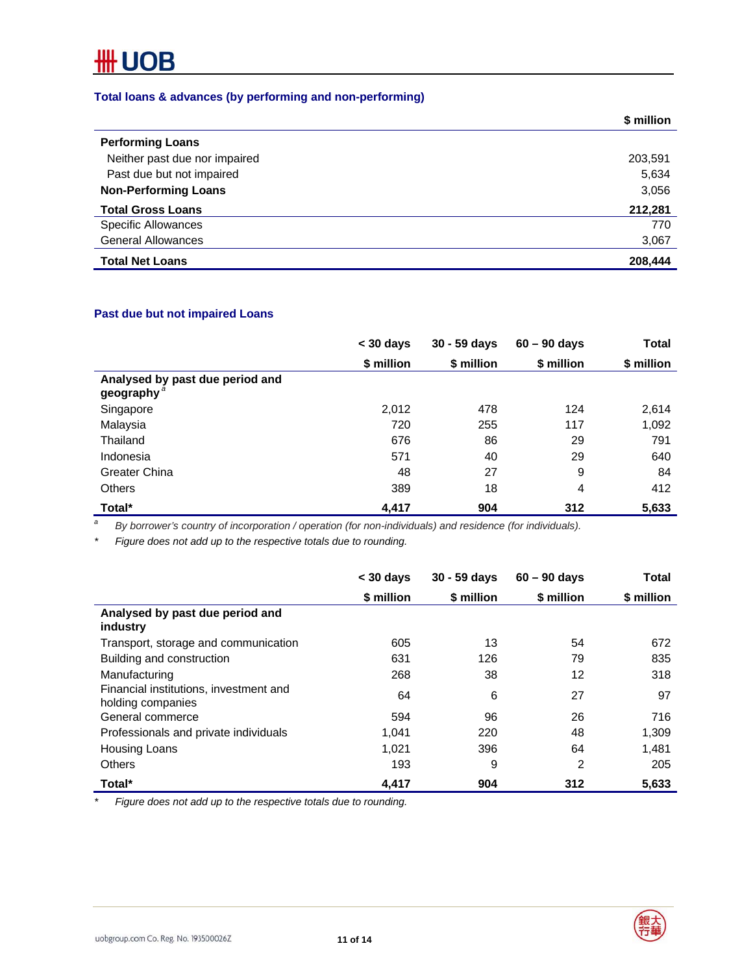#### **Total loans & advances (by performing and non-performing)**

|                               | \$ million |
|-------------------------------|------------|
| <b>Performing Loans</b>       |            |
| Neither past due nor impaired | 203,591    |
| Past due but not impaired     | 5,634      |
| <b>Non-Performing Loans</b>   | 3,056      |
| <b>Total Gross Loans</b>      | 212,281    |
| <b>Specific Allowances</b>    | 770        |
| <b>General Allowances</b>     | 3,067      |
| <b>Total Net Loans</b>        | 208,444    |

#### **Past due but not impaired Loans**

|                                              | $<$ 30 days | $30 - 59$ days | $60 - 90$ days | <b>Total</b> |
|----------------------------------------------|-------------|----------------|----------------|--------------|
|                                              | \$ million  | \$ million     | \$ million     | \$ million   |
| Analysed by past due period and<br>geography |             |                |                |              |
| Singapore                                    | 2,012       | 478            | 124            | 2,614        |
| Malaysia                                     | 720         | 255            | 117            | 1,092        |
| Thailand                                     | 676         | 86             | 29             | 791          |
| Indonesia                                    | 571         | 40             | 29             | 640          |
| Greater China                                | 48          | 27             | 9              | 84           |
| <b>Others</b>                                | 389         | 18             | 4              | 412          |
| Total*                                       | 4,417       | 904            | 312            | 5,633        |

*a By borrower's country of incorporation / operation (for non-individuals) and residence (for individuals).* 

*\* Figure does not add up to the respective totals due to rounding.* 

|                                                             | $<$ 30 days | $30 - 59$ days | $60 - 90$ days | Total      |
|-------------------------------------------------------------|-------------|----------------|----------------|------------|
|                                                             | \$ million  | \$ million     | \$ million     | \$ million |
| Analysed by past due period and<br>industry                 |             |                |                |            |
| Transport, storage and communication                        | 605         | 13             | 54             | 672        |
| Building and construction                                   | 631         | 126            | 79             | 835        |
| Manufacturing                                               | 268         | 38             | 12             | 318        |
| Financial institutions, investment and<br>holding companies | 64          | 6              | 27             | 97         |
| General commerce                                            | 594         | 96             | 26             | 716        |
| Professionals and private individuals                       | 1.041       | 220            | 48             | 1,309      |
| Housing Loans                                               | 1.021       | 396            | 64             | 1.481      |
| <b>Others</b>                                               | 193         | 9              | 2              | 205        |
| Total*                                                      | 4,417       | 904            | 312            | 5,633      |

*\* Figure does not add up to the respective totals due to rounding.* 



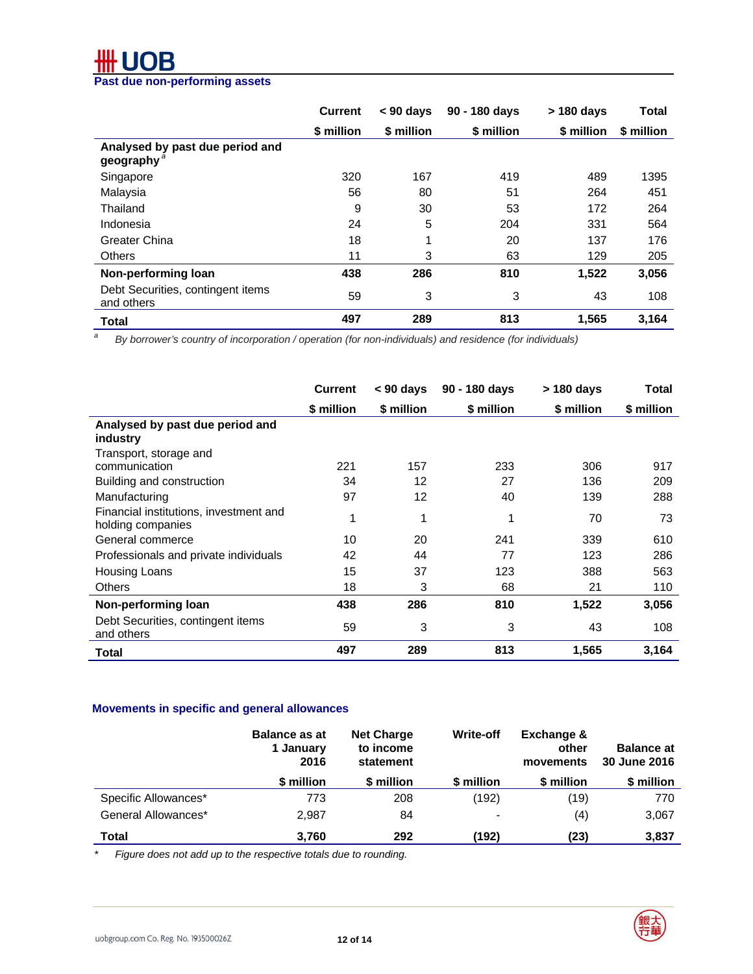## **Past due non-performing assets**

|                                                 | <b>Current</b> | $< 90$ days | 90 - 180 days | $>$ 180 days | Total      |
|-------------------------------------------------|----------------|-------------|---------------|--------------|------------|
|                                                 | \$ million     | \$ million  | \$ million    | \$ million   | \$ million |
| Analysed by past due period and<br>geography    |                |             |               |              |            |
| Singapore                                       | 320            | 167         | 419           | 489          | 1395       |
| Malaysia                                        | 56             | 80          | 51            | 264          | 451        |
| Thailand                                        | 9              | 30          | 53            | 172          | 264        |
| Indonesia                                       | 24             | 5           | 204           | 331          | 564        |
| <b>Greater China</b>                            | 18             | 1           | 20            | 137          | 176        |
| <b>Others</b>                                   | 11             | 3           | 63            | 129          | 205        |
| Non-performing loan                             | 438            | 286         | 810           | 1,522        | 3,056      |
| Debt Securities, contingent items<br>and others | 59             | 3           | 3             | 43           | 108        |
| Total                                           | 497            | 289         | 813           | 1,565        | 3,164      |

*a By borrower's country of incorporation / operation (for non-individuals) and residence (for individuals)* 

|                                                             | <b>Current</b> | $< 90$ days | 90 - 180 days | > 180 days | Total      |
|-------------------------------------------------------------|----------------|-------------|---------------|------------|------------|
|                                                             | \$ million     | \$ million  | \$ million    | \$ million | \$ million |
| Analysed by past due period and<br>industry                 |                |             |               |            |            |
| Transport, storage and                                      |                |             |               |            |            |
| communication                                               | 221            | 157         | 233           | 306        | 917        |
| Building and construction                                   | 34             | 12          | 27            | 136        | 209        |
| Manufacturing                                               | 97             | 12          | 40            | 139        | 288        |
| Financial institutions, investment and<br>holding companies |                | 1           |               | 70         | 73         |
| General commerce                                            | 10             | 20          | 241           | 339        | 610        |
| Professionals and private individuals                       | 42             | 44          | 77            | 123        | 286        |
| Housing Loans                                               | 15             | 37          | 123           | 388        | 563        |
| <b>Others</b>                                               | 18             | 3           | 68            | 21         | 110        |
| Non-performing loan                                         | 438            | 286         | 810           | 1,522      | 3,056      |
| Debt Securities, contingent items<br>and others             | 59             | 3           | 3             | 43         | 108        |
| Total                                                       | 497            | 289         | 813           | 1,565      | 3,164      |

#### **Movements in specific and general allowances**

|                      | <b>Balance as at</b><br>1 January<br>2016 | <b>Net Charge</b><br>to income<br>statement | <b>Write-off</b> | Exchange &<br>other<br>movements | <b>Balance at</b><br>30 June 2016 |
|----------------------|-------------------------------------------|---------------------------------------------|------------------|----------------------------------|-----------------------------------|
|                      | \$ million                                | \$ million                                  | \$ million       | \$ million                       | \$ million                        |
| Specific Allowances* | 773                                       | 208                                         | (192)            | (19)                             | 770                               |
| General Allowances*  | 2.987                                     | 84                                          | $\blacksquare$   | (4)                              | 3,067                             |
| Total                | 3,760                                     | 292                                         | (192)            | (23)                             | 3,837                             |

*\* Figure does not add up to the respective totals due to rounding.* 

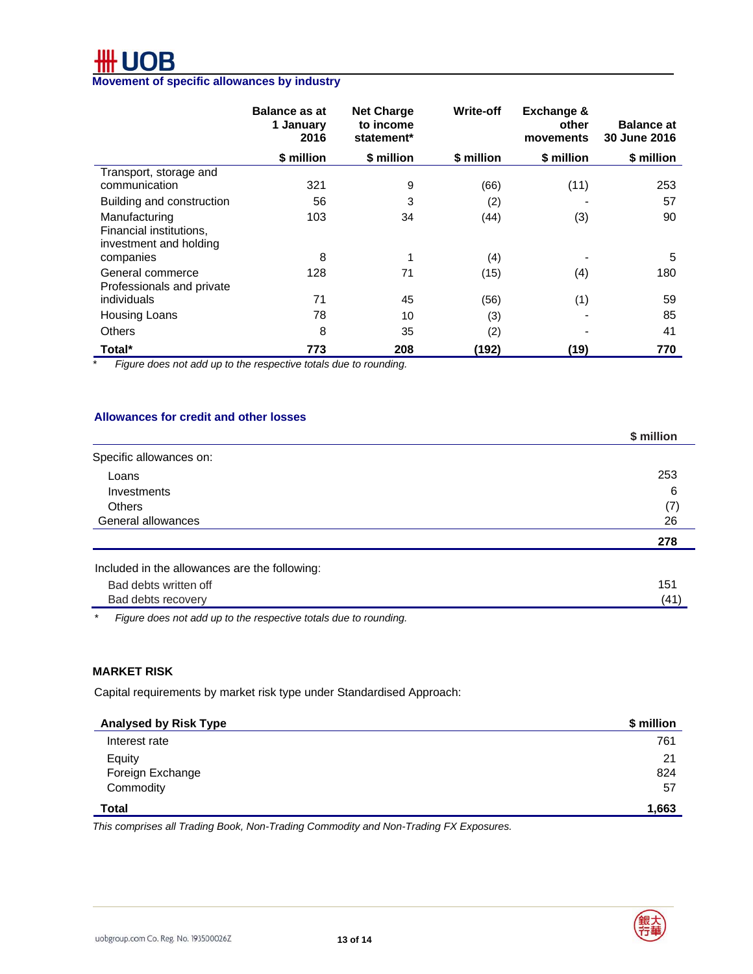# **Movement of specific allowances by industry**

|                                                                    | <b>Balance as at</b><br>1 January<br>2016 | <b>Net Charge</b><br>to income<br>statement* | <b>Write-off</b> | <b>Exchange &amp;</b><br>other<br>movements | <b>Balance at</b><br>30 June 2016 |
|--------------------------------------------------------------------|-------------------------------------------|----------------------------------------------|------------------|---------------------------------------------|-----------------------------------|
|                                                                    | \$ million                                | \$ million                                   | \$ million       | \$ million                                  | \$ million                        |
| Transport, storage and<br>communication                            | 321                                       | 9                                            | (66)             | (11)                                        | 253                               |
| Building and construction                                          | 56                                        | 3                                            | (2)              |                                             | 57                                |
| Manufacturing<br>Financial institutions,<br>investment and holding | 103                                       | 34                                           | (44)             | (3)                                         | 90                                |
| companies                                                          | 8                                         | 1                                            | (4)              |                                             | 5                                 |
| General commerce<br>Professionals and private                      | 128                                       | 71                                           | (15)             | (4)                                         | 180                               |
| individuals                                                        | 71                                        | 45                                           | (56)             | (1)                                         | 59                                |
| <b>Housing Loans</b>                                               | 78                                        | 10                                           | (3)              |                                             | 85                                |
| <b>Others</b>                                                      | 8                                         | 35                                           | (2)              |                                             | 41                                |
| Total*                                                             | 773                                       | 208                                          | (192)            | (19)                                        | 770                               |

*\* Figure does not add up to the respective totals due to rounding.*

#### **Allowances for credit and other losses**

|                                               | \$ million |
|-----------------------------------------------|------------|
| Specific allowances on:                       |            |
| Loans                                         | 253        |
| <b>Investments</b>                            | 6          |
| <b>Others</b>                                 | (7)        |
| General allowances                            | 26         |
|                                               | 278        |
| Included in the allowances are the following: |            |
| Bad debts written off                         | 151        |
| Bad debts recovery                            | (41)       |

*\* Figure does not add up to the respective totals due to rounding.* 

#### **MARKET RISK**

Capital requirements by market risk type under Standardised Approach:

| \$ million |
|------------|
| 761        |
| 21         |
| 824        |
| 57         |
| 1,663      |
|            |

*This comprises all Trading Book, Non-Trading Commodity and Non-Trading FX Exposures.*